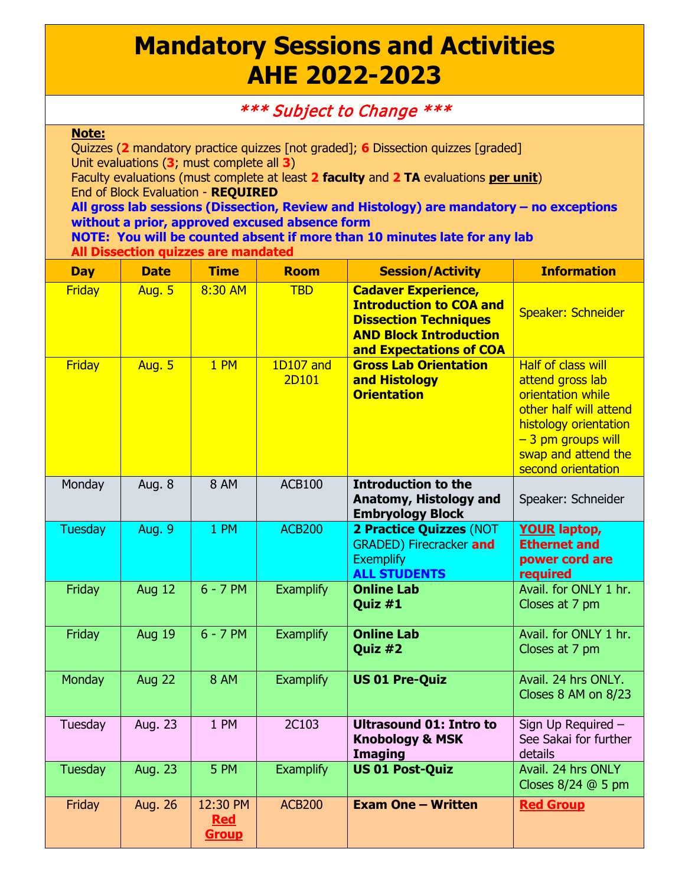## **Mandatory Sessions and Activities AHE 2022-2023**

## \*\*\* Subject to Change \*\*\*

## **Note:**

Quizzes (**2** mandatory practice quizzes [not graded]; **6** Dissection quizzes [graded] Unit evaluations (**3**; must complete all **3**) Faculty evaluations (must complete at least **2 faculty** and **2 TA** evaluations **per unit**)

End of Block Evaluation - **REQUIRED**

## **All gross lab sessions (Dissection, Review and Histology) are mandatory – no exceptions without a prior, approved excused absence form**

**NOTE: You will be counted absent if more than 10 minutes late for any lab All Dissection quizzes are mandated**

| <b>Day</b>     | <b>Date</b>    | <b>Time</b>                            | <b>Room</b>        | <b>Session/Activity</b>                                                                                                                                  | <b>Information</b>                                                                                                                                                                        |
|----------------|----------------|----------------------------------------|--------------------|----------------------------------------------------------------------------------------------------------------------------------------------------------|-------------------------------------------------------------------------------------------------------------------------------------------------------------------------------------------|
| <b>Friday</b>  | <b>Aug. 5</b>  | 8:30 AM                                | <b>TBD</b>         | <b>Cadaver Experience,</b><br><b>Introduction to COA and</b><br><b>Dissection Techniques</b><br><b>AND Block Introduction</b><br>and Expectations of COA | Speaker: Schneider                                                                                                                                                                        |
| <b>Friday</b>  | <b>Aug. 5</b>  | 1 PM                                   | 1D107 and<br>2D101 | <b>Gross Lab Orientation</b><br>and Histology<br><b>Orientation</b>                                                                                      | <b>Half of class will</b><br>attend gross lab<br>orientation while<br>other half will attend<br>histology orientation<br>$-3$ pm groups will<br>swap and attend the<br>second orientation |
| Monday         | Aug. 8         | <b>8 AM</b>                            | <b>ACB100</b>      | <b>Introduction to the</b><br>Anatomy, Histology and<br><b>Embryology Block</b>                                                                          | Speaker: Schneider                                                                                                                                                                        |
| <b>Tuesday</b> | <b>Aug. 9</b>  | 1 PM                                   | <b>ACB200</b>      | 2 Practice Quizzes (NOT<br><b>GRADED) Firecracker and</b><br><b>Exemplify</b><br><b>ALL STUDENTS</b>                                                     | <b>YOUR laptop,</b><br><b>Ethernet and</b><br>power cord are<br>required                                                                                                                  |
| Friday         | Aug 12         | $6 - 7$ PM                             | <b>Examplify</b>   | <b>Online Lab</b><br>Quiz #1                                                                                                                             | Avail. for ONLY 1 hr.<br>Closes at 7 pm                                                                                                                                                   |
| Friday         | <b>Aug 19</b>  | $6 - 7$ PM                             | <b>Examplify</b>   | <b>Online Lab</b><br>Quiz #2                                                                                                                             | Avail. for ONLY 1 hr.<br>Closes at 7 pm                                                                                                                                                   |
| Monday         | <b>Aug 22</b>  | <b>8 AM</b>                            | <b>Examplify</b>   | <b>US 01 Pre-Quiz</b>                                                                                                                                    | Avail. 24 hrs ONLY.<br>Closes 8 AM on 8/23                                                                                                                                                |
| Tuesday        | Aug. 23        | 1 PM                                   | 2C103              | <b>Ultrasound 01: Intro to</b><br><b>Knobology &amp; MSK</b><br><b>Imaging</b>                                                                           | Sign Up Required -<br>See Sakai for further<br>details                                                                                                                                    |
| <b>Tuesday</b> | <b>Aug. 23</b> | 5 PM                                   | <b>Examplify</b>   | <b>US 01 Post-Quiz</b>                                                                                                                                   | Avail. 24 hrs ONLY<br>Closes $8/24$ @ 5 pm                                                                                                                                                |
| Friday         | Aug. 26        | 12:30 PM<br><b>Red</b><br><b>Group</b> | <b>ACB200</b>      | <b>Exam One - Written</b>                                                                                                                                | <b>Red Group</b>                                                                                                                                                                          |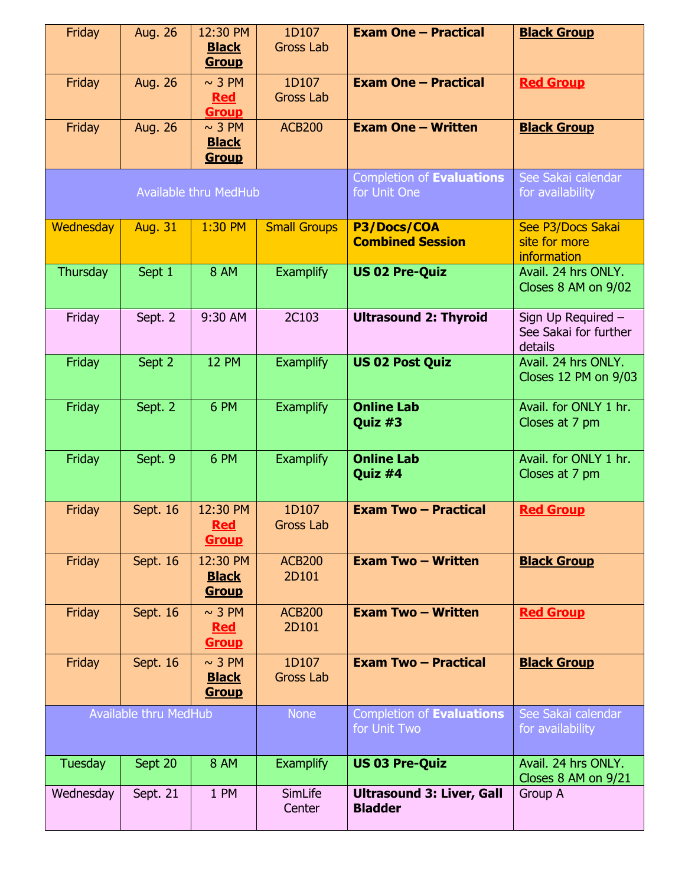| Friday                       | Aug. 26        | 12:30 PM                                    | 1D107                     | <b>Exam One - Practical</b>                        | <b>Black Group</b>                                     |
|------------------------------|----------------|---------------------------------------------|---------------------------|----------------------------------------------------|--------------------------------------------------------|
|                              |                | <b>Black</b><br><b>Group</b>                | <b>Gross Lab</b>          |                                                    |                                                        |
| Friday                       | <b>Aug. 26</b> | $\sim$ 3 PM<br><b>Red</b><br><b>Group</b>   | 1D107<br><b>Gross Lab</b> | <b>Exam One - Practical</b>                        | <b>Red Group</b>                                       |
| Friday                       | <b>Aug. 26</b> | $\sim$ 3 PM<br><b>Black</b><br><b>Group</b> | <b>ACB200</b>             | <b>Exam One - Written</b>                          | <b>Black Group</b>                                     |
| <b>Available thru MedHub</b> |                |                                             |                           | Completion of Evaluations<br>for Unit One          | See Sakai calendar<br>for availability                 |
| Wednesday                    | <b>Aug. 31</b> | 1:30 PM                                     | <b>Small Groups</b>       | P3/Docs/COA<br><b>Combined Session</b>             | See P3/Docs Sakai<br>site for more<br>information      |
| Thursday                     | Sept 1         | <b>8 AM</b>                                 | <b>Examplify</b>          | <b>US 02 Pre-Quiz</b>                              | Avail. 24 hrs ONLY.<br>Closes 8 AM on 9/02             |
| Friday                       | Sept. 2        | 9:30 AM                                     | 2C103                     | <b>Ultrasound 2: Thyroid</b>                       | Sign Up Required -<br>See Sakai for further<br>details |
| Friday                       | Sept 2         | <b>12 PM</b>                                | <b>Examplify</b>          | <b>US 02 Post Quiz</b>                             | Avail. 24 hrs ONLY.<br>Closes 12 PM on 9/03            |
| Friday                       | Sept. 2        | 6 PM                                        | <b>Examplify</b>          | <b>Online Lab</b><br>Quiz #3                       | Avail. for ONLY 1 hr.<br>Closes at 7 pm                |
| Friday                       | Sept. 9        | 6 PM                                        | <b>Examplify</b>          | <b>Online Lab</b><br>Quiz #4                       | Avail. for ONLY 1 hr.<br>Closes at 7 pm                |
| Friday                       | Sept. 16       | 12:30 PM<br><b>Red</b><br><b>Group</b>      | 1D107<br><b>Gross Lab</b> | <b>Exam Two - Practical</b>                        | <b>Red Group</b>                                       |
| Friday                       | Sept. 16       | 12:30 PM<br><b>Black</b><br><b>Group</b>    | <b>ACB200</b><br>2D101    | <b>Exam Two - Written</b>                          | <b>Black Group</b>                                     |
| Friday                       | Sept. 16       | $\sim$ 3 PM<br><b>Red</b><br><b>Group</b>   | <b>ACB200</b><br>2D101    | <b>Exam Two - Written</b>                          | <b>Red Group</b>                                       |
| Friday                       | Sept. 16       | $\sim$ 3 PM<br><b>Black</b><br><b>Group</b> | 1D107<br><b>Gross Lab</b> | <b>Exam Two - Practical</b>                        | <b>Black Group</b>                                     |
| <b>Available thru MedHub</b> |                |                                             | <b>None</b>               | Completion of Evaluations<br>for Unit Two          | See Sakai calendar<br>for availability                 |
| <b>Tuesday</b>               | Sept 20        | <b>8 AM</b>                                 | <b>Examplify</b>          | <b>US 03 Pre-Quiz</b>                              | Avail. 24 hrs ONLY.<br>Closes 8 AM on 9/21             |
| Wednesday                    | Sept. 21       | 1 PM                                        | SimLife<br>Center         | <b>Ultrasound 3: Liver, Gall</b><br><b>Bladder</b> | Group A                                                |